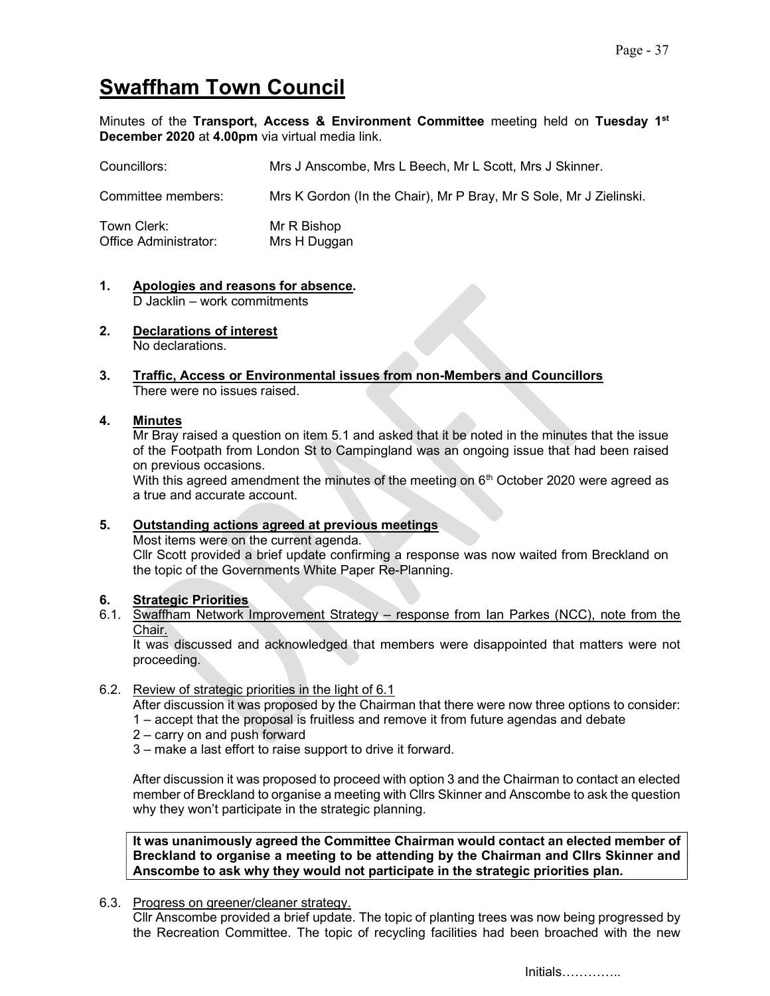# Swaffham Town Council

Minutes of the Transport, Access & Environment Committee meeting held on Tuesday 1st December 2020 at 4.00pm via virtual media link.

| Councillors:                         | Mrs J Anscombe, Mrs L Beech, Mr L Scott, Mrs J Skinner.            |
|--------------------------------------|--------------------------------------------------------------------|
| Committee members:                   | Mrs K Gordon (In the Chair), Mr P Bray, Mr S Sole, Mr J Zielinski. |
| Town Clerk:<br>Office Administrator: | Mr R Bishop<br>Mrs H Duggan                                        |

- 1. Apologies and reasons for absence. D Jacklin – work commitments
- 2. Declarations of interest No declarations.
- 3. Traffic, Access or Environmental issues from non-Members and Councillors There were no issues raised.

# 4. Minutes

Mr Bray raised a question on item 5.1 and asked that it be noted in the minutes that the issue of the Footpath from London St to Campingland was an ongoing issue that had been raised on previous occasions.

With this agreed amendment the minutes of the meeting on  $6<sup>th</sup>$  October 2020 were agreed as a true and accurate account.

# 5. Outstanding actions agreed at previous meetings

Most items were on the current agenda. Cllr Scott provided a brief update confirming a response was now waited from Breckland on the topic of the Governments White Paper Re-Planning.

# 6. Strategic Priorities

6.1. Swaffham Network Improvement Strategy – response from Ian Parkes (NCC), note from the Chair.

It was discussed and acknowledged that members were disappointed that matters were not proceeding.

### 6.2. Review of strategic priorities in the light of 6.1

After discussion it was proposed by the Chairman that there were now three options to consider: 1 – accept that the proposal is fruitless and remove it from future agendas and debate

- 2 carry on and push forward
- 3 make a last effort to raise support to drive it forward.

After discussion it was proposed to proceed with option 3 and the Chairman to contact an elected member of Breckland to organise a meeting with Cllrs Skinner and Anscombe to ask the question why they won't participate in the strategic planning.

It was unanimously agreed the Committee Chairman would contact an elected member of Breckland to organise a meeting to be attending by the Chairman and Cllrs Skinner and Anscombe to ask why they would not participate in the strategic priorities plan.

6.3. Progress on greener/cleaner strategy.

Cllr Anscombe provided a brief update. The topic of planting trees was now being progressed by the Recreation Committee. The topic of recycling facilities had been broached with the new